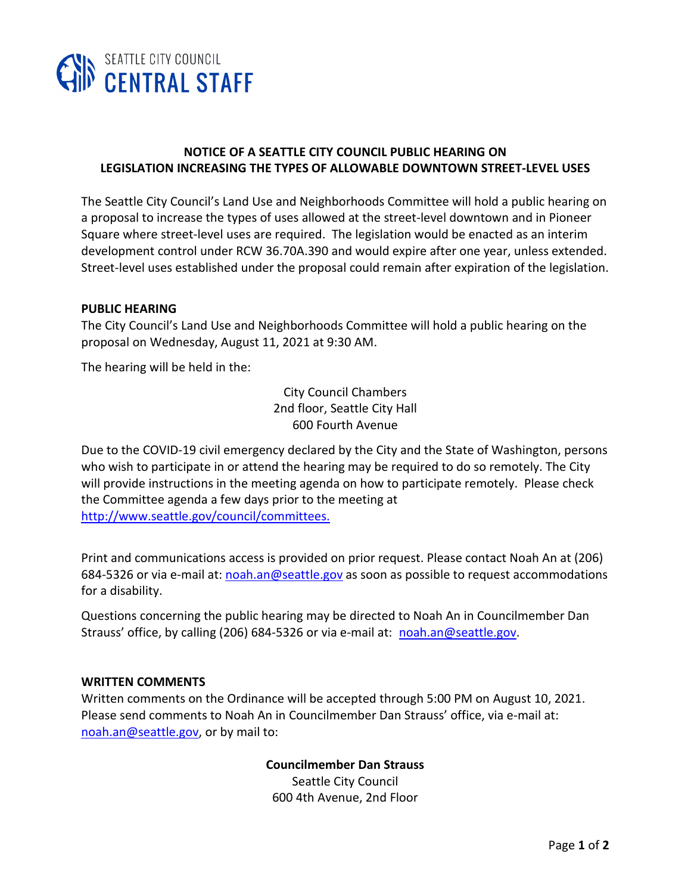

# **NOTICE OF A SEATTLE CITY COUNCIL PUBLIC HEARING ON LEGISLATION INCREASING THE TYPES OF ALLOWABLE DOWNTOWN STREET-LEVEL USES**

The Seattle City Council's Land Use and Neighborhoods Committee will hold a public hearing on a proposal to increase the types of uses allowed at the street-level downtown and in Pioneer Square where street-level uses are required. The legislation would be enacted as an interim development control under RCW 36.70A.390 and would expire after one year, unless extended. Street-level uses established under the proposal could remain after expiration of the legislation.

### **PUBLIC HEARING**

The City Council's Land Use and Neighborhoods Committee will hold a public hearing on the proposal on Wednesday, August 11, 2021 at 9:30 AM.

The hearing will be held in the:

City Council Chambers 2nd floor, Seattle City Hall 600 Fourth Avenue

Due to the COVID-19 civil emergency declared by the City and the State of Washington, persons who wish to participate in or attend the hearing may be required to do so remotely. The City will provide instructions in the meeting agenda on how to participate remotely. Please check the Committee agenda a few days prior to the meeting at [http://www.seattle.gov/council/committees.](http://www.seattle.gov/council/committees)

Print and communications access is provided on prior request. Please contact Noah An at (206) 684-5326 or via e-mail at[: noah.an@seattle.gov](mailto:noah.an@seattle.gov) as soon as possible to request accommodations for a disability.

Questions concerning the public hearing may be directed to Noah An in Councilmember Dan Strauss' office, by calling (206) 684-5326 or via e-mail at: [noah.an@seattle.gov.](mailto:noah.an@seattle.gov)

#### **WRITTEN COMMENTS**

Written comments on the Ordinance will be accepted through 5:00 PM on August 10, 2021. Please send comments to Noah An in Councilmember Dan Strauss' office, via e-mail at: [noah.an@seattle.gov,](mailto:noah.an@seattle.gov) or by mail to:

> **Councilmember Dan Strauss** Seattle City Council 600 4th Avenue, 2nd Floor